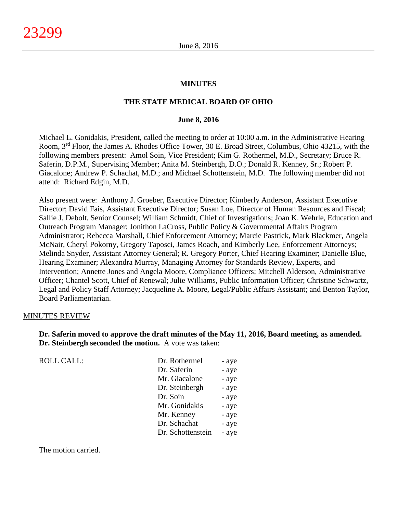#### **MINUTES**

#### **THE STATE MEDICAL BOARD OF OHIO**

#### **June 8, 2016**

Michael L. Gonidakis, President, called the meeting to order at 10:00 a.m. in the Administrative Hearing Room, 3rd Floor, the James A. Rhodes Office Tower, 30 E. Broad Street, Columbus, Ohio 43215, with the following members present: Amol Soin, Vice President; Kim G. Rothermel, M.D., Secretary; Bruce R. Saferin, D.P.M., Supervising Member; Anita M. Steinbergh, D.O.; Donald R. Kenney, Sr.; Robert P. Giacalone; Andrew P. Schachat, M.D.; and Michael Schottenstein, M.D. The following member did not attend: Richard Edgin, M.D.

Also present were: Anthony J. Groeber, Executive Director; Kimberly Anderson, Assistant Executive Director; David Fais, Assistant Executive Director; Susan Loe, Director of Human Resources and Fiscal; Sallie J. Debolt, Senior Counsel; William Schmidt, Chief of Investigations; Joan K. Wehrle, Education and Outreach Program Manager; Jonithon LaCross, Public Policy & Governmental Affairs Program Administrator; Rebecca Marshall, Chief Enforcement Attorney; Marcie Pastrick, Mark Blackmer, Angela McNair, Cheryl Pokorny, Gregory Taposci, James Roach, and Kimberly Lee, Enforcement Attorneys; Melinda Snyder, Assistant Attorney General; R. Gregory Porter, Chief Hearing Examiner; Danielle Blue, Hearing Examiner; Alexandra Murray, Managing Attorney for Standards Review, Experts, and Intervention; Annette Jones and Angela Moore, Compliance Officers; Mitchell Alderson, Administrative Officer; Chantel Scott, Chief of Renewal; Julie Williams, Public Information Officer; Christine Schwartz, Legal and Policy Staff Attorney; Jacqueline A. Moore, Legal/Public Affairs Assistant; and Benton Taylor, Board Parliamentarian.

#### MINUTES REVIEW

**Dr. Saferin moved to approve the draft minutes of the May 11, 2016, Board meeting, as amended. Dr. Steinbergh seconded the motion.** A vote was taken:

| <b>ROLL CALL:</b> | Dr. Rothermel     | - aye |
|-------------------|-------------------|-------|
|                   | Dr. Saferin       | - aye |
|                   | Mr. Giacalone     | - aye |
|                   | Dr. Steinbergh    | - aye |
|                   | Dr. Soin          | - aye |
|                   | Mr. Gonidakis     | - aye |
|                   | Mr. Kenney        | - aye |
|                   | Dr. Schachat      | - aye |
|                   | Dr. Schottenstein | - aye |
|                   |                   |       |

The motion carried.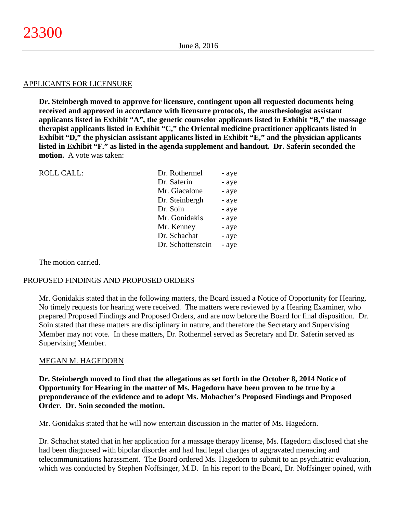#### APPLICANTS FOR LICENSURE

**Dr. Steinbergh moved to approve for licensure, contingent upon all requested documents being received and approved in accordance with licensure protocols, the anesthesiologist assistant applicants listed in Exhibit "A", the genetic counselor applicants listed in Exhibit "B," the massage therapist applicants listed in Exhibit "C," the Oriental medicine practitioner applicants listed in Exhibit "D," the physician assistant applicants listed in Exhibit "E," and the physician applicants listed in Exhibit "F." as listed in the agenda supplement and handout. Dr. Saferin seconded the motion.** A vote was taken:

| <b>ROLL CALL:</b> | Dr. Rothermel     | - aye |
|-------------------|-------------------|-------|
|                   | Dr. Saferin       | - aye |
|                   | Mr. Giacalone     | - aye |
|                   | Dr. Steinbergh    | - aye |
|                   | Dr. Soin          | - aye |
|                   | Mr. Gonidakis     | - aye |
|                   | Mr. Kenney        | - aye |
|                   | Dr. Schachat      | - aye |
|                   | Dr. Schottenstein | - aye |
|                   |                   |       |

The motion carried.

#### PROPOSED FINDINGS AND PROPOSED ORDERS

Mr. Gonidakis stated that in the following matters, the Board issued a Notice of Opportunity for Hearing. No timely requests for hearing were received. The matters were reviewed by a Hearing Examiner, who prepared Proposed Findings and Proposed Orders, and are now before the Board for final disposition. Dr. Soin stated that these matters are disciplinary in nature, and therefore the Secretary and Supervising Member may not vote. In these matters, Dr. Rothermel served as Secretary and Dr. Saferin served as Supervising Member.

#### MEGAN M. HAGEDORN

**Dr. Steinbergh moved to find that the allegations as set forth in the October 8, 2014 Notice of Opportunity for Hearing in the matter of Ms. Hagedorn have been proven to be true by a preponderance of the evidence and to adopt Ms. Mobacher's Proposed Findings and Proposed Order. Dr. Soin seconded the motion.**

Mr. Gonidakis stated that he will now entertain discussion in the matter of Ms. Hagedorn.

Dr. Schachat stated that in her application for a massage therapy license, Ms. Hagedorn disclosed that she had been diagnosed with bipolar disorder and had had legal charges of aggravated menacing and telecommunications harassment. The Board ordered Ms. Hagedorn to submit to an psychiatric evaluation, which was conducted by Stephen Noffsinger, M.D. In his report to the Board, Dr. Noffsinger opined, with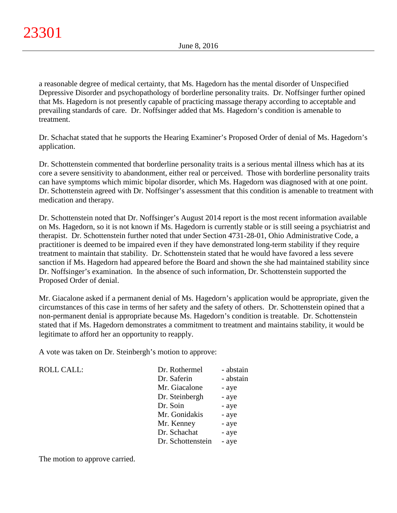a reasonable degree of medical certainty, that Ms. Hagedorn has the mental disorder of Unspecified Depressive Disorder and psychopathology of borderline personality traits. Dr. Noffsinger further opined that Ms. Hagedorn is not presently capable of practicing massage therapy according to acceptable and prevailing standards of care. Dr. Noffsinger added that Ms. Hagedorn's condition is amenable to treatment.

Dr. Schachat stated that he supports the Hearing Examiner's Proposed Order of denial of Ms. Hagedorn's application.

Dr. Schottenstein commented that borderline personality traits is a serious mental illness which has at its core a severe sensitivity to abandonment, either real or perceived. Those with borderline personality traits can have symptoms which mimic bipolar disorder, which Ms. Hagedorn was diagnosed with at one point. Dr. Schottenstein agreed with Dr. Noffsinger's assessment that this condition is amenable to treatment with medication and therapy.

Dr. Schottenstein noted that Dr. Noffsinger's August 2014 report is the most recent information available on Ms. Hagedorn, so it is not known if Ms. Hagedorn is currently stable or is still seeing a psychiatrist and therapist. Dr. Schottenstein further noted that under Section 4731-28-01, Ohio Administrative Code, a practitioner is deemed to be impaired even if they have demonstrated long-term stability if they require treatment to maintain that stability. Dr. Schottenstein stated that he would have favored a less severe sanction if Ms. Hagedorn had appeared before the Board and shown the she had maintained stability since Dr. Noffsinger's examination. In the absence of such information, Dr. Schottenstein supported the Proposed Order of denial.

Mr. Giacalone asked if a permanent denial of Ms. Hagedorn's application would be appropriate, given the circumstances of this case in terms of her safety and the safety of others. Dr. Schottenstein opined that a non-permanent denial is appropriate because Ms. Hagedorn's condition is treatable. Dr. Schottenstein stated that if Ms. Hagedorn demonstrates a commitment to treatment and maintains stability, it would be legitimate to afford her an opportunity to reapply.

A vote was taken on Dr. Steinbergh's motion to approve:

 $ROLL CALL$ :

| Dr. Rothermel     | - abstain |
|-------------------|-----------|
| Dr. Saferin       | - abstain |
| Mr. Giacalone     | - aye     |
| Dr. Steinbergh    | - aye     |
| Dr. Soin          | - aye     |
| Mr. Gonidakis     | - aye     |
| Mr. Kenney        | - aye     |
| Dr. Schachat      | - aye     |
| Dr. Schottenstein | - aye     |
|                   |           |

The motion to approve carried.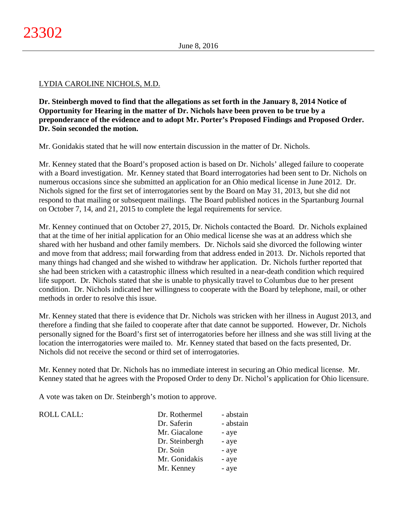## LYDIA CAROLINE NICHOLS, M.D.

**Dr. Steinbergh moved to find that the allegations as set forth in the January 8, 2014 Notice of Opportunity for Hearing in the matter of Dr. Nichols have been proven to be true by a preponderance of the evidence and to adopt Mr. Porter's Proposed Findings and Proposed Order. Dr. Soin seconded the motion.**

Mr. Gonidakis stated that he will now entertain discussion in the matter of Dr. Nichols.

Mr. Kenney stated that the Board's proposed action is based on Dr. Nichols' alleged failure to cooperate with a Board investigation. Mr. Kenney stated that Board interrogatories had been sent to Dr. Nichols on numerous occasions since she submitted an application for an Ohio medical license in June 2012. Dr. Nichols signed for the first set of interrogatories sent by the Board on May 31, 2013, but she did not respond to that mailing or subsequent mailings. The Board published notices in the Spartanburg Journal on October 7, 14, and 21, 2015 to complete the legal requirements for service.

Mr. Kenney continued that on October 27, 2015, Dr. Nichols contacted the Board. Dr. Nichols explained that at the time of her initial application for an Ohio medical license she was at an address which she shared with her husband and other family members. Dr. Nichols said she divorced the following winter and move from that address; mail forwarding from that address ended in 2013. Dr. Nichols reported that many things had changed and she wished to withdraw her application. Dr. Nichols further reported that she had been stricken with a catastrophic illness which resulted in a near-death condition which required life support. Dr. Nichols stated that she is unable to physically travel to Columbus due to her present condition. Dr. Nichols indicated her willingness to cooperate with the Board by telephone, mail, or other methods in order to resolve this issue.

Mr. Kenney stated that there is evidence that Dr. Nichols was stricken with her illness in August 2013, and therefore a finding that she failed to cooperate after that date cannot be supported. However, Dr. Nichols personally signed for the Board's first set of interrogatories before her illness and she was still living at the location the interrogatories were mailed to. Mr. Kenney stated that based on the facts presented, Dr. Nichols did not receive the second or third set of interrogatories.

Mr. Kenney noted that Dr. Nichols has no immediate interest in securing an Ohio medical license. Mr. Kenney stated that he agrees with the Proposed Order to deny Dr. Nichol's application for Ohio licensure.

A vote was taken on Dr. Steinbergh's motion to approve.

 $ROLL CALL$ :

| Dr. Rothermel  | - abstain |
|----------------|-----------|
| Dr. Saferin    | - abstain |
| Mr. Giacalone  | - aye     |
| Dr. Steinbergh | - aye     |
| Dr. Soin       | - aye     |
| Mr. Gonidakis  | - aye     |
| Mr. Kenney     | - aye     |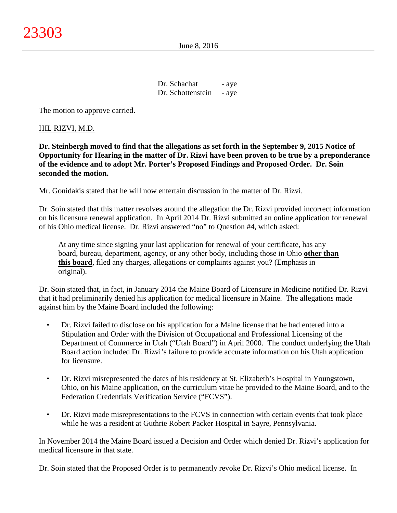June 8, 2016

| Dr. Schachat      | - aye |
|-------------------|-------|
| Dr. Schottenstein | - aye |

The motion to approve carried.

#### HIL RIZVI, M.D.

**Dr. Steinbergh moved to find that the allegations as set forth in the September 9, 2015 Notice of Opportunity for Hearing in the matter of Dr. Rizvi have been proven to be true by a preponderance of the evidence and to adopt Mr. Porter's Proposed Findings and Proposed Order. Dr. Soin seconded the motion.**

Mr. Gonidakis stated that he will now entertain discussion in the matter of Dr. Rizvi.

Dr. Soin stated that this matter revolves around the allegation the Dr. Rizvi provided incorrect information on his licensure renewal application. In April 2014 Dr. Rizvi submitted an online application for renewal of his Ohio medical license. Dr. Rizvi answered "no" to Question #4, which asked:

At any time since signing your last application for renewal of your certificate, has any board, bureau, department, agency, or any other body, including those in Ohio **other than this board**, filed any charges, allegations or complaints against you? (Emphasis in original).

Dr. Soin stated that, in fact, in January 2014 the Maine Board of Licensure in Medicine notified Dr. Rizvi that it had preliminarily denied his application for medical licensure in Maine. The allegations made against him by the Maine Board included the following:

- Dr. Rizvi failed to disclose on his application for a Maine license that he had entered into a Stipulation and Order with the Division of Occupational and Professional Licensing of the Department of Commerce in Utah ("Utah Board") in April 2000. The conduct underlying the Utah Board action included Dr. Rizvi's failure to provide accurate information on his Utah application for licensure.
- Dr. Rizvi misrepresented the dates of his residency at St. Elizabeth's Hospital in Youngstown, Ohio, on his Maine application, on the curriculum vitae he provided to the Maine Board, and to the Federation Credentials Verification Service ("FCVS").
- Dr. Rizvi made misrepresentations to the FCVS in connection with certain events that took place while he was a resident at Guthrie Robert Packer Hospital in Sayre, Pennsylvania.

In November 2014 the Maine Board issued a Decision and Order which denied Dr. Rizvi's application for medical licensure in that state.

Dr. Soin stated that the Proposed Order is to permanently revoke Dr. Rizvi's Ohio medical license. In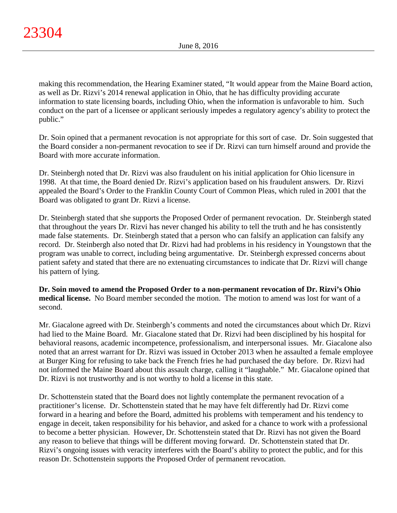making this recommendation, the Hearing Examiner stated, "It would appear from the Maine Board action, as well as Dr. Rizvi's 2014 renewal application in Ohio, that he has difficulty providing accurate information to state licensing boards, including Ohio, when the information is unfavorable to him. Such conduct on the part of a licensee or applicant seriously impedes a regulatory agency's ability to protect the public."

Dr. Soin opined that a permanent revocation is not appropriate for this sort of case. Dr. Soin suggested that the Board consider a non-permanent revocation to see if Dr. Rizvi can turn himself around and provide the Board with more accurate information.

Dr. Steinbergh noted that Dr. Rizvi was also fraudulent on his initial application for Ohio licensure in 1998. At that time, the Board denied Dr. Rizvi's application based on his fraudulent answers. Dr. Rizvi appealed the Board's Order to the Franklin County Court of Common Pleas, which ruled in 2001 that the Board was obligated to grant Dr. Rizvi a license.

Dr. Steinbergh stated that she supports the Proposed Order of permanent revocation. Dr. Steinbergh stated that throughout the years Dr. Rizvi has never changed his ability to tell the truth and he has consistently made false statements. Dr. Steinbergh stated that a person who can falsify an application can falsify any record. Dr. Steinbergh also noted that Dr. Rizvi had had problems in his residency in Youngstown that the program was unable to correct, including being argumentative. Dr. Steinbergh expressed concerns about patient safety and stated that there are no extenuating circumstances to indicate that Dr. Rizvi will change his pattern of lying.

**Dr. Soin moved to amend the Proposed Order to a non-permanent revocation of Dr. Rizvi's Ohio medical license.** No Board member seconded the motion. The motion to amend was lost for want of a second.

Mr. Giacalone agreed with Dr. Steinbergh's comments and noted the circumstances about which Dr. Rizvi had lied to the Maine Board. Mr. Giacalone stated that Dr. Rizvi had been disciplined by his hospital for behavioral reasons, academic incompetence, professionalism, and interpersonal issues. Mr. Giacalone also noted that an arrest warrant for Dr. Rizvi was issued in October 2013 when he assaulted a female employee at Burger King for refusing to take back the French fries he had purchased the day before. Dr. Rizvi had not informed the Maine Board about this assault charge, calling it "laughable." Mr. Giacalone opined that Dr. Rizvi is not trustworthy and is not worthy to hold a license in this state.

Dr. Schottenstein stated that the Board does not lightly contemplate the permanent revocation of a practitioner's license. Dr. Schottenstein stated that he may have felt differently had Dr. Rizvi come forward in a hearing and before the Board, admitted his problems with temperament and his tendency to engage in deceit, taken responsibility for his behavior, and asked for a chance to work with a professional to become a better physician. However, Dr. Schottenstein stated that Dr. Rizvi has not given the Board any reason to believe that things will be different moving forward. Dr. Schottenstein stated that Dr. Rizvi's ongoing issues with veracity interferes with the Board's ability to protect the public, and for this reason Dr. Schottenstein supports the Proposed Order of permanent revocation.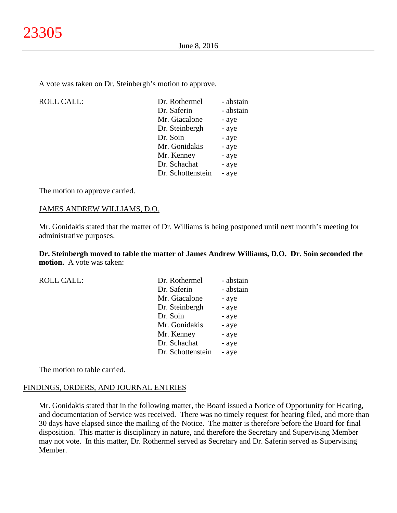A vote was taken on Dr. Steinbergh's motion to approve.

| <b>ROLL CALL:</b> | Dr. Rothermel     | - abstain |
|-------------------|-------------------|-----------|
|                   | Dr. Saferin       | - abstain |
|                   | Mr. Giacalone     | - aye     |
|                   | Dr. Steinbergh    | - aye     |
|                   | Dr. Soin          | - aye     |
|                   | Mr. Gonidakis     | - aye     |
|                   | Mr. Kenney        | - aye     |
|                   | Dr. Schachat      | - aye     |
|                   | Dr. Schottenstein | - aye     |
|                   |                   |           |

The motion to approve carried.

#### JAMES ANDREW WILLIAMS, D.O.

Mr. Gonidakis stated that the matter of Dr. Williams is being postponed until next month's meeting for administrative purposes.

**Dr. Steinbergh moved to table the matter of James Andrew Williams, D.O. Dr. Soin seconded the motion.** A vote was taken:

| <b>ROLL CALL:</b> | Dr. Rothermel     | - abstain |
|-------------------|-------------------|-----------|
|                   | Dr. Saferin       | - abstain |
|                   | Mr. Giacalone     | - aye     |
|                   | Dr. Steinbergh    | - aye     |
|                   | Dr. Soin          | - aye     |
|                   | Mr. Gonidakis     | - aye     |
|                   | Mr. Kenney        | - aye     |
|                   | Dr. Schachat      | - aye     |
|                   | Dr. Schottenstein | - aye     |
|                   |                   |           |

The motion to table carried.

## FINDINGS, ORDERS, AND JOURNAL ENTRIES

Mr. Gonidakis stated that in the following matter, the Board issued a Notice of Opportunity for Hearing, and documentation of Service was received. There was no timely request for hearing filed, and more than 30 days have elapsed since the mailing of the Notice. The matter is therefore before the Board for final disposition. This matter is disciplinary in nature, and therefore the Secretary and Supervising Member may not vote. In this matter, Dr. Rothermel served as Secretary and Dr. Saferin served as Supervising Member.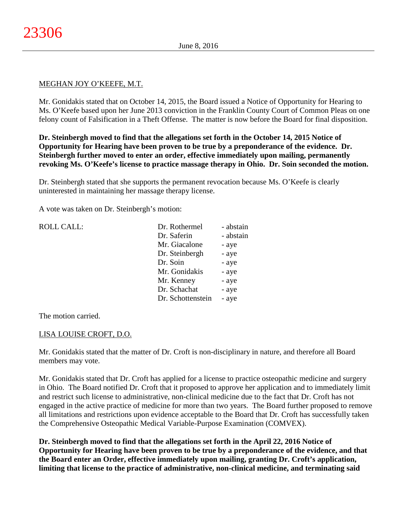## MEGHAN JOY O'KEEFE, M.T.

Mr. Gonidakis stated that on October 14, 2015, the Board issued a Notice of Opportunity for Hearing to Ms. O'Keefe based upon her June 2013 conviction in the Franklin County Court of Common Pleas on one felony count of Falsification in a Theft Offense. The matter is now before the Board for final disposition.

**Dr. Steinbergh moved to find that the allegations set forth in the October 14, 2015 Notice of Opportunity for Hearing have been proven to be true by a preponderance of the evidence. Dr. Steinbergh further moved to enter an order, effective immediately upon mailing, permanently revoking Ms. O'Keefe's license to practice massage therapy in Ohio. Dr. Soin seconded the motion.**

Dr. Steinbergh stated that she supports the permanent revocation because Ms. O'Keefe is clearly uninterested in maintaining her massage therapy license.

A vote was taken on Dr. Steinbergh's motion:

| <b>ROLL CALL:</b> | Dr. Rothermel     | - abstain |
|-------------------|-------------------|-----------|
|                   | Dr. Saferin       | - abstain |
|                   | Mr. Giacalone     | - aye     |
|                   | Dr. Steinbergh    | - aye     |
|                   | Dr. Soin          | - aye     |
|                   | Mr. Gonidakis     | - aye     |
|                   | Mr. Kenney        | - aye     |
|                   | Dr. Schachat      | - aye     |
|                   | Dr. Schottenstein | - aye     |
|                   |                   |           |

The motion carried.

## LISA LOUISE CROFT, D.O.

Mr. Gonidakis stated that the matter of Dr. Croft is non-disciplinary in nature, and therefore all Board members may vote.

Mr. Gonidakis stated that Dr. Croft has applied for a license to practice osteopathic medicine and surgery in Ohio. The Board notified Dr. Croft that it proposed to approve her application and to immediately limit and restrict such license to administrative, non-clinical medicine due to the fact that Dr. Croft has not engaged in the active practice of medicine for more than two years. The Board further proposed to remove all limitations and restrictions upon evidence acceptable to the Board that Dr. Croft has successfully taken the Comprehensive Osteopathic Medical Variable-Purpose Examination (COMVEX).

**Dr. Steinbergh moved to find that the allegations set forth in the April 22, 2016 Notice of Opportunity for Hearing have been proven to be true by a preponderance of the evidence, and that the Board enter an Order, effective immediately upon mailing, granting Dr. Croft's application, limiting that license to the practice of administrative, non-clinical medicine, and terminating said**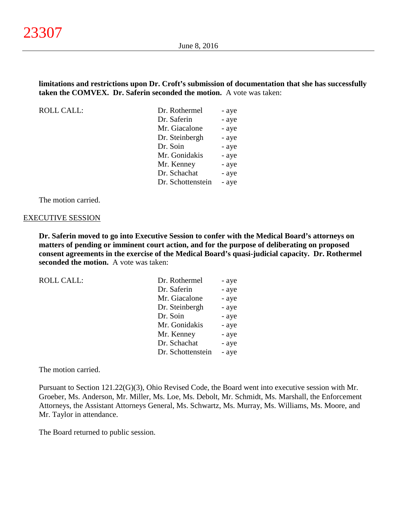#### **limitations and restrictions upon Dr. Croft's submission of documentation that she has successfully taken the COMVEX. Dr. Saferin seconded the motion.** A vote was taken:

ROLL CALL:

| Dr. Rothermel     | - aye |
|-------------------|-------|
| Dr. Saferin       | - aye |
| Mr. Giacalone     | - aye |
| Dr. Steinbergh    | - aye |
| Dr. Soin          | - aye |
| Mr. Gonidakis     | - aye |
| Mr. Kenney        | - aye |
| Dr. Schachat      | - aye |
| Dr. Schottenstein | - aye |
|                   |       |

The motion carried.

#### EXECUTIVE SESSION

**Dr. Saferin moved to go into Executive Session to confer with the Medical Board's attorneys on matters of pending or imminent court action, and for the purpose of deliberating on proposed consent agreements in the exercise of the Medical Board's quasi-judicial capacity. Dr. Rothermel seconded the motion.** A vote was taken:

|  | ROLL CALL: |
|--|------------|

| Dr. Rothermel     | - aye |
|-------------------|-------|
| Dr. Saferin       | - aye |
| Mr. Giacalone     | - aye |
| Dr. Steinbergh    | - aye |
| Dr. Soin          | - aye |
| Mr. Gonidakis     | - aye |
| Mr. Kenney        | - aye |
| Dr. Schachat      | - aye |
| Dr. Schottenstein | - aye |
|                   |       |

The motion carried.

Pursuant to Section 121.22(G)(3), Ohio Revised Code, the Board went into executive session with Mr. Groeber, Ms. Anderson, Mr. Miller, Ms. Loe, Ms. Debolt, Mr. Schmidt, Ms. Marshall, the Enforcement Attorneys, the Assistant Attorneys General, Ms. Schwartz, Ms. Murray, Ms. Williams, Ms. Moore, and Mr. Taylor in attendance.

The Board returned to public session.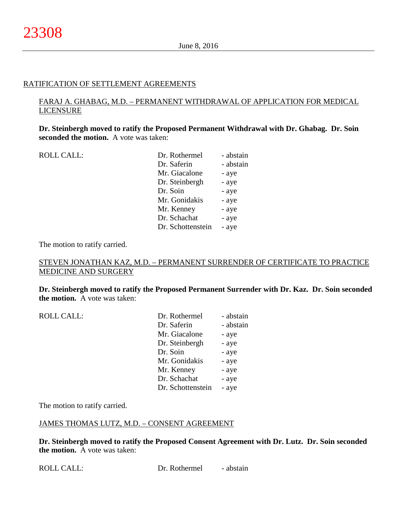#### RATIFICATION OF SETTLEMENT AGREEMENTS

## FARAJ A. GHABAG, M.D. – PERMANENT WITHDRAWAL OF APPLICATION FOR MEDICAL LICENSURE

**Dr. Steinbergh moved to ratify the Proposed Permanent Withdrawal with Dr. Ghabag. Dr. Soin seconded the motion.** A vote was taken:

| <b>ROLL CALL:</b> | Dr. Rothermel     | - abstain |
|-------------------|-------------------|-----------|
|                   | Dr. Saferin       | - abstain |
|                   | Mr. Giacalone     | - aye     |
|                   | Dr. Steinbergh    | - aye     |
|                   | Dr. Soin          | - aye     |
|                   | Mr. Gonidakis     | - aye     |
|                   | Mr. Kenney        | - aye     |
|                   | Dr. Schachat      | - aye     |
|                   | Dr. Schottenstein | - aye     |
|                   |                   |           |

The motion to ratify carried.

## STEVEN JONATHAN KAZ, M.D. – PERMANENT SURRENDER OF CERTIFICATE TO PRACTICE MEDICINE AND SURGERY

**Dr. Steinbergh moved to ratify the Proposed Permanent Surrender with Dr. Kaz. Dr. Soin seconded the motion.** A vote was taken:

| <b>ROLL CALL:</b> | Dr. Rothermel     | - abstain |
|-------------------|-------------------|-----------|
|                   | Dr. Saferin       | - abstain |
|                   | Mr. Giacalone     | - aye     |
|                   | Dr. Steinbergh    | - aye     |
|                   | Dr. Soin          | - aye     |
|                   | Mr. Gonidakis     | - aye     |
|                   | Mr. Kenney        | - aye     |
|                   | Dr. Schachat      | - aye     |
|                   | Dr. Schottenstein | - aye     |

The motion to ratify carried.

#### JAMES THOMAS LUTZ, M.D. – CONSENT AGREEMENT

**Dr. Steinbergh moved to ratify the Proposed Consent Agreement with Dr. Lutz. Dr. Soin seconded the motion.** A vote was taken: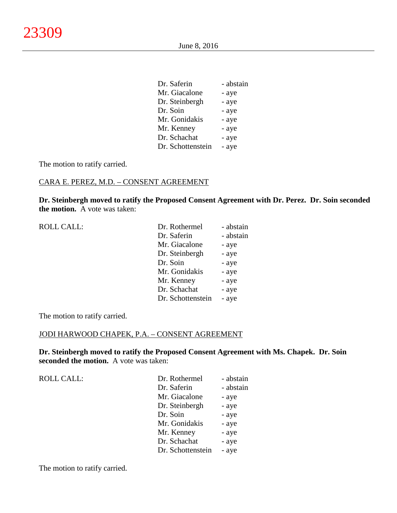June 8, 2016

| Dr. Saferin       | - abstain |
|-------------------|-----------|
| Mr. Giacalone     | - aye     |
| Dr. Steinbergh    | - aye     |
| Dr. Soin          | - aye     |
| Mr. Gonidakis     | - aye     |
| Mr. Kenney        | - aye     |
| Dr. Schachat      | - aye     |
| Dr. Schottenstein | - aye     |

The motion to ratify carried.

# CARA E. PEREZ, M.D. – CONSENT AGREEMENT

**Dr. Steinbergh moved to ratify the Proposed Consent Agreement with Dr. Perez. Dr. Soin seconded the motion.** A vote was taken:

| Dr. Rothermel     | - abstain |
|-------------------|-----------|
| Dr. Saferin       | - abstain |
| Mr. Giacalone     | - aye     |
| Dr. Steinbergh    | - aye     |
| Dr. Soin          | - aye     |
| Mr. Gonidakis     | - aye     |
| Mr. Kenney        | - aye     |
| Dr. Schachat      | - aye     |
| Dr. Schottenstein | - aye     |
|                   |           |

The motion to ratify carried.

## JODI HARWOOD CHAPEK, P.A. – CONSENT AGREEMENT

**Dr. Steinbergh moved to ratify the Proposed Consent Agreement with Ms. Chapek. Dr. Soin seconded the motion.** A vote was taken:

| <b>ROLL CALL:</b> | Dr. Rothermel     | - abstain |
|-------------------|-------------------|-----------|
|                   | Dr. Saferin       | - abstain |
|                   | Mr. Giacalone     | - aye     |
|                   | Dr. Steinbergh    | - aye     |
|                   | Dr. Soin          | - aye     |
|                   | Mr. Gonidakis     | - aye     |
|                   | Mr. Kenney        | - aye     |
|                   | Dr. Schachat      | - aye     |
|                   | Dr. Schottenstein | - aye     |

The motion to ratify carried.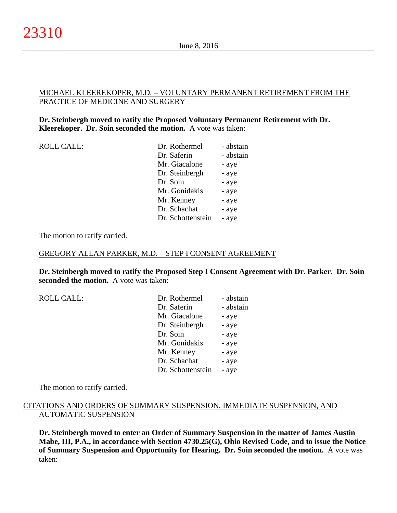## MICHAEL KLEEREKOPER, M.D. – VOLUNTARY PERMANENT RETIREMENT FROM THE PRACTICE OF MEDICINE AND SURGERY

## **Dr. Steinbergh moved to ratify the Proposed Voluntary Permanent Retirement with Dr. Kleerekoper. Dr. Soin seconded the motion.** A vote was taken:

| <b>ROLL CALL:</b> | Dr. Rothermel     | - abstain |
|-------------------|-------------------|-----------|
|                   | Dr. Saferin       | - abstain |
|                   | Mr. Giacalone     | - aye     |
|                   | Dr. Steinbergh    | - aye     |
|                   | Dr. Soin          | - aye     |
|                   | Mr. Gonidakis     | - aye     |
|                   | Mr. Kenney        | - aye     |
|                   | Dr. Schachat      | - aye     |
|                   | Dr. Schottenstein | - aye     |
|                   |                   |           |

The motion to ratify carried.

#### GREGORY ALLAN PARKER, M.D. – STEP I CONSENT AGREEMENT

**Dr. Steinbergh moved to ratify the Proposed Step I Consent Agreement with Dr. Parker. Dr. Soin seconded the motion.** A vote was taken:

| ROLL CALL: | Dr. Rothermel     | - abstain |
|------------|-------------------|-----------|
|            | Dr. Saferin       | - abstain |
|            | Mr. Giacalone     | - aye     |
|            | Dr. Steinbergh    | - aye     |
|            | Dr. Soin          | - aye     |
|            | Mr. Gonidakis     | - aye     |
|            | Mr. Kenney        | - aye     |
|            | Dr. Schachat      | - aye     |
|            | Dr. Schottenstein | - aye     |

The motion to ratify carried.

#### CITATIONS AND ORDERS OF SUMMARY SUSPENSION, IMMEDIATE SUSPENSION, AND AUTOMATIC SUSPENSION

**Dr. Steinbergh moved to enter an Order of Summary Suspension in the matter of James Austin Mabe, III, P.A., in accordance with Section 4730.25(G), Ohio Revised Code, and to issue the Notice of Summary Suspension and Opportunity for Hearing. Dr. Soin seconded the motion.** A vote was taken: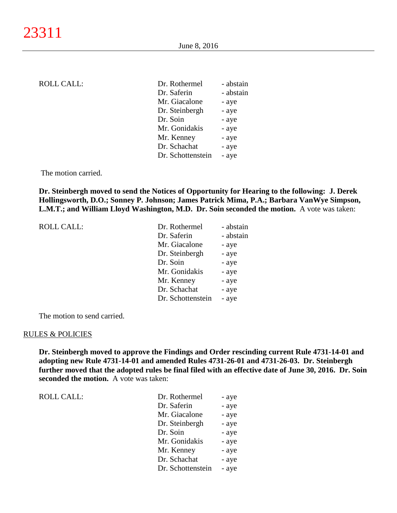| ROLL CALL: |  |
|------------|--|
|------------|--|

| <b>ROLL CALL:</b> | Dr. Rothermel     | - abstain |
|-------------------|-------------------|-----------|
|                   | Dr. Saferin       | - abstain |
|                   | Mr. Giacalone     | - aye     |
|                   | Dr. Steinbergh    | - aye     |
|                   | Dr. Soin          | - aye     |
|                   | Mr. Gonidakis     | - aye     |
|                   | Mr. Kenney        | - aye     |
|                   | Dr. Schachat      | - aye     |
|                   | Dr. Schottenstein | - aye     |
|                   |                   |           |

The motion carried.

**Dr. Steinbergh moved to send the Notices of Opportunity for Hearing to the following: J. Derek Hollingsworth, D.O.; Sonney P. Johnson; James Patrick Mima, P.A.; Barbara VanWye Simpson, L.M.T.; and William Lloyd Washington, M.D. Dr. Soin seconded the motion.** A vote was taken:

ROLL CALL:

| Dr. Rothermel     | - abstain |
|-------------------|-----------|
| Dr. Saferin       | - abstain |
| Mr. Giacalone     | - aye     |
| Dr. Steinbergh    | - aye     |
| Dr. Soin          | - aye     |
| Mr. Gonidakis     | - aye     |
| Mr. Kenney        | - aye     |
| Dr. Schachat      | - aye     |
| Dr. Schottenstein | - aye     |

The motion to send carried.

#### RULES & POLICIES

ROLL CALL:

**Dr. Steinbergh moved to approve the Findings and Order rescinding current Rule 4731-14-01 and adopting new Rule 4731-14-01 and amended Rules 4731-26-01 and 4731-26-03. Dr. Steinbergh further moved that the adopted rules be final filed with an effective date of June 30, 2016. Dr. Soin seconded the motion.** A vote was taken:

| Dr. Rothermel     | - aye |
|-------------------|-------|
| Dr. Saferin       | - aye |
| Mr. Giacalone     | - aye |
| Dr. Steinbergh    | - aye |
| Dr. Soin          | - aye |
| Mr. Gonidakis     | - aye |
| Mr. Kenney        | - aye |
| Dr. Schachat      | - aye |
| Dr. Schottenstein | - aye |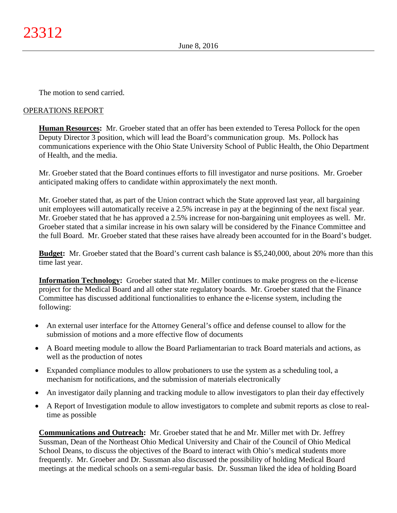The motion to send carried.

## OPERATIONS REPORT

**Human Resources:** Mr. Groeber stated that an offer has been extended to Teresa Pollock for the open Deputy Director 3 position, which will lead the Board's communication group. Ms. Pollock has communications experience with the Ohio State University School of Public Health, the Ohio Department of Health, and the media.

Mr. Groeber stated that the Board continues efforts to fill investigator and nurse positions. Mr. Groeber anticipated making offers to candidate within approximately the next month.

Mr. Groeber stated that, as part of the Union contract which the State approved last year, all bargaining unit employees will automatically receive a 2.5% increase in pay at the beginning of the next fiscal year. Mr. Groeber stated that he has approved a 2.5% increase for non-bargaining unit employees as well. Mr. Groeber stated that a similar increase in his own salary will be considered by the Finance Committee and the full Board. Mr. Groeber stated that these raises have already been accounted for in the Board's budget.

**Budget:** Mr. Groeber stated that the Board's current cash balance is \$5,240,000, about 20% more than this time last year.

**Information Technology:** Groeber stated that Mr. Miller continues to make progress on the e-license project for the Medical Board and all other state regulatory boards. Mr. Groeber stated that the Finance Committee has discussed additional functionalities to enhance the e-license system, including the following:

- An external user interface for the Attorney General's office and defense counsel to allow for the submission of motions and a more effective flow of documents
- A Board meeting module to allow the Board Parliamentarian to track Board materials and actions, as well as the production of notes
- Expanded compliance modules to allow probationers to use the system as a scheduling tool, a mechanism for notifications, and the submission of materials electronically
- An investigator daily planning and tracking module to allow investigators to plan their day effectively
- A Report of Investigation module to allow investigators to complete and submit reports as close to realtime as possible

**Communications and Outreach:** Mr. Groeber stated that he and Mr. Miller met with Dr. Jeffrey Sussman, Dean of the Northeast Ohio Medical University and Chair of the Council of Ohio Medical School Deans, to discuss the objectives of the Board to interact with Ohio's medical students more frequently. Mr. Groeber and Dr. Sussman also discussed the possibility of holding Medical Board meetings at the medical schools on a semi-regular basis. Dr. Sussman liked the idea of holding Board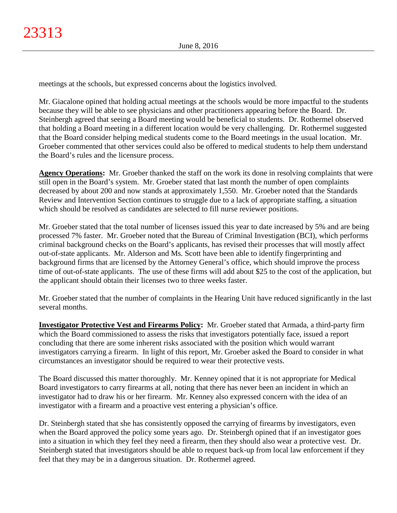meetings at the schools, but expressed concerns about the logistics involved.

Mr. Giacalone opined that holding actual meetings at the schools would be more impactful to the students because they will be able to see physicians and other practitioners appearing before the Board. Dr. Steinbergh agreed that seeing a Board meeting would be beneficial to students. Dr. Rothermel observed that holding a Board meeting in a different location would be very challenging. Dr. Rothermel suggested that the Board consider helping medical students come to the Board meetings in the usual location. Mr. Groeber commented that other services could also be offered to medical students to help them understand the Board's rules and the licensure process.

**Agency Operations:** Mr. Groeber thanked the staff on the work its done in resolving complaints that were still open in the Board's system. Mr. Groeber stated that last month the number of open complaints decreased by about 200 and now stands at approximately 1,550. Mr. Groeber noted that the Standards Review and Intervention Section continues to struggle due to a lack of appropriate staffing, a situation which should be resolved as candidates are selected to fill nurse reviewer positions.

Mr. Groeber stated that the total number of licenses issued this year to date increased by 5% and are being processed 7% faster. Mr. Groeber noted that the Bureau of Criminal Investigation (BCI), which performs criminal background checks on the Board's applicants, has revised their processes that will mostly affect out-of-state applicants. Mr. Alderson and Ms. Scott have been able to identify fingerprinting and background firms that are licensed by the Attorney General's office, which should improve the process time of out-of-state applicants. The use of these firms will add about \$25 to the cost of the application, but the applicant should obtain their licenses two to three weeks faster.

Mr. Groeber stated that the number of complaints in the Hearing Unit have reduced significantly in the last several months.

**Investigator Protective Vest and Firearms Policy:** Mr. Groeber stated that Armada, a third-party firm which the Board commissioned to assess the risks that investigators potentially face, issued a report concluding that there are some inherent risks associated with the position which would warrant investigators carrying a firearm. In light of this report, Mr. Groeber asked the Board to consider in what circumstances an investigator should be required to wear their protective vests.

The Board discussed this matter thoroughly. Mr. Kenney opined that it is not appropriate for Medical Board investigators to carry firearms at all, noting that there has never been an incident in which an investigator had to draw his or her firearm. Mr. Kenney also expressed concern with the idea of an investigator with a firearm and a proactive vest entering a physician's office.

Dr. Steinbergh stated that she has consistently opposed the carrying of firearms by investigators, even when the Board approved the policy some years ago. Dr. Steinbergh opined that if an investigator goes into a situation in which they feel they need a firearm, then they should also wear a protective vest. Dr. Steinbergh stated that investigators should be able to request back-up from local law enforcement if they feel that they may be in a dangerous situation. Dr. Rothermel agreed.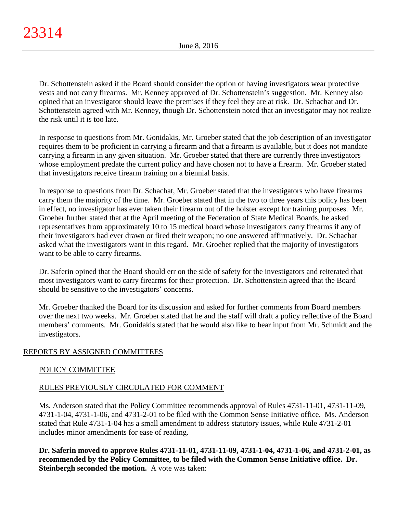Dr. Schottenstein asked if the Board should consider the option of having investigators wear protective vests and not carry firearms. Mr. Kenney approved of Dr. Schottenstein's suggestion. Mr. Kenney also opined that an investigator should leave the premises if they feel they are at risk. Dr. Schachat and Dr. Schottenstein agreed with Mr. Kenney, though Dr. Schottenstein noted that an investigator may not realize the risk until it is too late.

In response to questions from Mr. Gonidakis, Mr. Groeber stated that the job description of an investigator requires them to be proficient in carrying a firearm and that a firearm is available, but it does not mandate carrying a firearm in any given situation. Mr. Groeber stated that there are currently three investigators whose employment predate the current policy and have chosen not to have a firearm. Mr. Groeber stated that investigators receive firearm training on a biennial basis.

In response to questions from Dr. Schachat, Mr. Groeber stated that the investigators who have firearms carry them the majority of the time. Mr. Groeber stated that in the two to three years this policy has been in effect, no investigator has ever taken their firearm out of the holster except for training purposes. Mr. Groeber further stated that at the April meeting of the Federation of State Medical Boards, he asked representatives from approximately 10 to 15 medical board whose investigators carry firearms if any of their investigators had ever drawn or fired their weapon; no one answered affirmatively. Dr. Schachat asked what the investigators want in this regard. Mr. Groeber replied that the majority of investigators want to be able to carry firearms.

Dr. Saferin opined that the Board should err on the side of safety for the investigators and reiterated that most investigators want to carry firearms for their protection. Dr. Schottenstein agreed that the Board should be sensitive to the investigators' concerns.

Mr. Groeber thanked the Board for its discussion and asked for further comments from Board members over the next two weeks. Mr. Groeber stated that he and the staff will draft a policy reflective of the Board members' comments. Mr. Gonidakis stated that he would also like to hear input from Mr. Schmidt and the investigators.

# REPORTS BY ASSIGNED COMMITTEES

# POLICY COMMITTEE

# RULES PREVIOUSLY CIRCULATED FOR COMMENT

Ms. Anderson stated that the Policy Committee recommends approval of Rules 4731-11-01, 4731-11-09, 4731-1-04, 4731-1-06, and 4731-2-01 to be filed with the Common Sense Initiative office. Ms. Anderson stated that Rule 4731-1-04 has a small amendment to address statutory issues, while Rule 4731-2-01 includes minor amendments for ease of reading.

**Dr. Saferin moved to approve Rules 4731-11-01, 4731-11-09, 4731-1-04, 4731-1-06, and 4731-2-01, as recommended by the Policy Committee, to be filed with the Common Sense Initiative office. Dr. Steinbergh seconded the motion.** A vote was taken: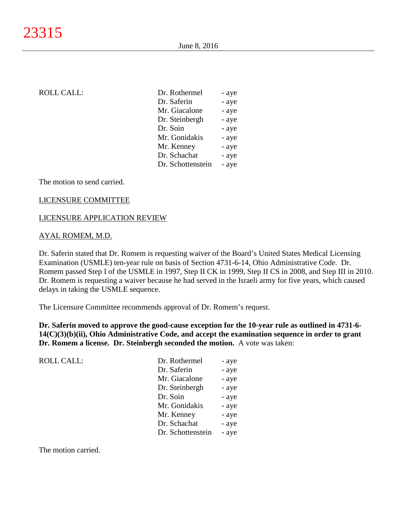# ROLL CALL: Dr. Rothermel - and - and - and - and - and - and - and - and - and - and - and - and - and - and - and - and - and - and - and - and - and - and - and - and - and - and - and - and - and - and - and - and - and

| Dr. Rothermel     | - aye |
|-------------------|-------|
| Dr. Saferin       | - aye |
| Mr. Giacalone     | - aye |
| Dr. Steinbergh    | - aye |
| Dr. Soin          | - aye |
| Mr. Gonidakis     | - aye |
| Mr. Kenney        | - aye |
| Dr. Schachat      | - aye |
| Dr. Schottenstein | - aye |

The motion to send carried.

#### LICENSURE COMMITTEE

#### LICENSURE APPLICATION REVIEW

#### AYAL ROMEM, M.D.

Dr. Saferin stated that Dr. Romem is requesting waiver of the Board's United States Medical Licensing Examination (USMLE) ten-year rule on basis of Section 4731-6-14, Ohio Administrative Code. Dr. Romem passed Step I of the USMLE in 1997, Step II CK in 1999, Step II CS in 2008, and Step III in 2010. Dr. Romem is requesting a waiver because he had served in the Israeli army for five years, which caused delays in taking the USMLE sequence.

The Licensure Committee recommends approval of Dr. Romem's request.

**Dr. Saferin moved to approve the good-cause exception for the 10-year rule as outlined in 4731-6- 14(C)(3)(b)(ii), Ohio Administrative Code, and accept the examination sequence in order to grant Dr. Romem a license. Dr. Steinbergh seconded the motion.** A vote was taken:

| <b>ROLL CALL:</b> | Dr. Rothermel     | - aye |
|-------------------|-------------------|-------|
|                   | Dr. Saferin       | - aye |
|                   | Mr. Giacalone     | - aye |
|                   | Dr. Steinbergh    | - aye |
|                   | Dr. Soin          | - aye |
|                   | Mr. Gonidakis     | - aye |
|                   | Mr. Kenney        | - aye |
|                   | Dr. Schachat      | - aye |
|                   | Dr. Schottenstein | - aye |
|                   |                   |       |

The motion carried.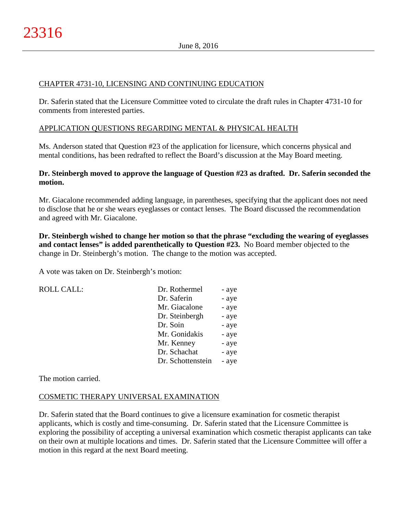## CHAPTER 4731-10, LICENSING AND CONTINUING EDUCATION

Dr. Saferin stated that the Licensure Committee voted to circulate the draft rules in Chapter 4731-10 for comments from interested parties.

## APPLICATION QUESTIONS REGARDING MENTAL & PHYSICAL HEALTH

Ms. Anderson stated that Question #23 of the application for licensure, which concerns physical and mental conditions, has been redrafted to reflect the Board's discussion at the May Board meeting.

## **Dr. Steinbergh moved to approve the language of Question #23 as drafted. Dr. Saferin seconded the motion.**

Mr. Giacalone recommended adding language, in parentheses, specifying that the applicant does not need to disclose that he or she wears eyeglasses or contact lenses. The Board discussed the recommendation and agreed with Mr. Giacalone.

**Dr. Steinbergh wished to change her motion so that the phrase "excluding the wearing of eyeglasses and contact lenses" is added parenthetically to Question #23.** No Board member objected to the change in Dr. Steinbergh's motion. The change to the motion was accepted.

A vote was taken on Dr. Steinbergh's motion:

| <b>ROLL CALL:</b> | Dr. Rothermel     | - aye |
|-------------------|-------------------|-------|
|                   | Dr. Saferin       | - aye |
|                   | Mr. Giacalone     | - aye |
|                   | Dr. Steinbergh    | - aye |
|                   | Dr. Soin          | - aye |
|                   | Mr. Gonidakis     | - aye |
|                   | Mr. Kenney        | - aye |
|                   | Dr. Schachat      | - aye |
|                   | Dr. Schottenstein | - aye |
|                   |                   |       |

The motion carried.

# COSMETIC THERAPY UNIVERSAL EXAMINATION

Dr. Saferin stated that the Board continues to give a licensure examination for cosmetic therapist applicants, which is costly and time-consuming. Dr. Saferin stated that the Licensure Committee is exploring the possibility of accepting a universal examination which cosmetic therapist applicants can take on their own at multiple locations and times. Dr. Saferin stated that the Licensure Committee will offer a motion in this regard at the next Board meeting.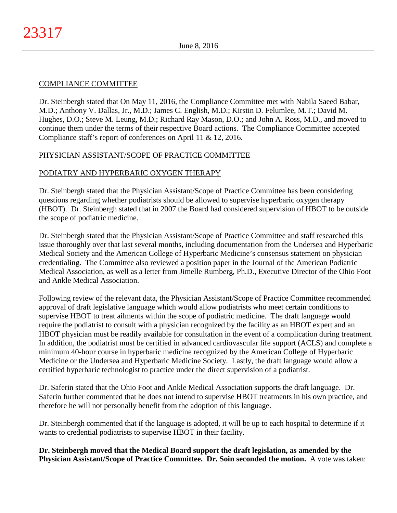# COMPLIANCE COMMITTEE

Dr. Steinbergh stated that On May 11, 2016, the Compliance Committee met with Nabila Saeed Babar, M.D.; Anthony V. Dallas, Jr., M.D.; James C. English, M.D.; Kirstin D. Felumlee, M.T.; David M. Hughes, D.O.; Steve M. Leung, M.D.; Richard Ray Mason, D.O.; and John A. Ross, M.D., and moved to continue them under the terms of their respective Board actions. The Compliance Committee accepted Compliance staff's report of conferences on April 11 & 12, 2016.

# PHYSICIAN ASSISTANT/SCOPE OF PRACTICE COMMITTEE

# PODIATRY AND HYPERBARIC OXYGEN THERAPY

Dr. Steinbergh stated that the Physician Assistant/Scope of Practice Committee has been considering questions regarding whether podiatrists should be allowed to supervise hyperbaric oxygen therapy (HBOT). Dr. Steinbergh stated that in 2007 the Board had considered supervision of HBOT to be outside the scope of podiatric medicine.

Dr. Steinbergh stated that the Physician Assistant/Scope of Practice Committee and staff researched this issue thoroughly over that last several months, including documentation from the Undersea and Hyperbaric Medical Society and the American College of Hyperbaric Medicine's consensus statement on physician credentialing. The Committee also reviewed a position paper in the Journal of the American Podiatric Medical Association, as well as a letter from Jimelle Rumberg, Ph.D., Executive Director of the Ohio Foot and Ankle Medical Association.

Following review of the relevant data, the Physician Assistant/Scope of Practice Committee recommended approval of draft legislative language which would allow podiatrists who meet certain conditions to supervise HBOT to treat ailments within the scope of podiatric medicine. The draft language would require the podiatrist to consult with a physician recognized by the facility as an HBOT expert and an HBOT physician must be readily available for consultation in the event of a complication during treatment. In addition, the podiatrist must be certified in advanced cardiovascular life support (ACLS) and complete a minimum 40-hour course in hyperbaric medicine recognized by the American College of Hyperbaric Medicine or the Undersea and Hyperbaric Medicine Society. Lastly, the draft language would allow a certified hyperbaric technologist to practice under the direct supervision of a podiatrist.

Dr. Saferin stated that the Ohio Foot and Ankle Medical Association supports the draft language. Dr. Saferin further commented that he does not intend to supervise HBOT treatments in his own practice, and therefore he will not personally benefit from the adoption of this language.

Dr. Steinbergh commented that if the language is adopted, it will be up to each hospital to determine if it wants to credential podiatrists to supervise HBOT in their facility.

**Dr. Steinbergh moved that the Medical Board support the draft legislation, as amended by the Physician Assistant/Scope of Practice Committee. Dr. Soin seconded the motion.** A vote was taken: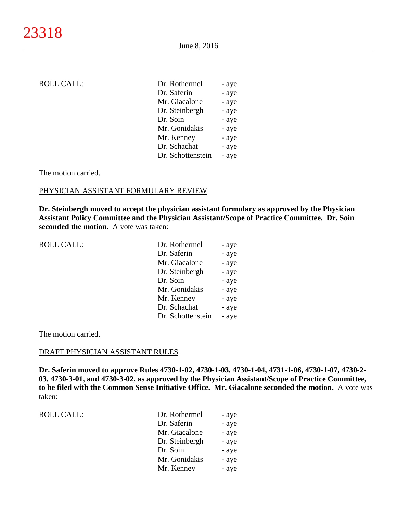# ROLL CALL: Dr. Rothermel - and - and - and - and - and - and - and - and - and - and - and - and - and - and - and - and - and - and - and - and - and - and - and - and - and - and - and - and - and - and - and - and - and

| Dr. Rothermel     | - aye |
|-------------------|-------|
| Dr. Saferin       | - aye |
| Mr. Giacalone     | - aye |
| Dr. Steinbergh    | - aye |
| Dr. Soin          | - aye |
| Mr. Gonidakis     | - aye |
| Mr. Kenney        | - aye |
| Dr. Schachat      | - aye |
| Dr. Schottenstein | - aye |

The motion carried.

#### PHYSICIAN ASSISTANT FORMULARY REVIEW

**Dr. Steinbergh moved to accept the physician assistant formulary as approved by the Physician Assistant Policy Committee and the Physician Assistant/Scope of Practice Committee. Dr. Soin seconded the motion.** A vote was taken:

| <b>ROLL CALL:</b> | Dr. Rothermel     | - aye |
|-------------------|-------------------|-------|
|                   | Dr. Saferin       | - aye |
|                   | Mr. Giacalone     | - aye |
|                   | Dr. Steinbergh    | - aye |
|                   | Dr. Soin          | - aye |
|                   | Mr. Gonidakis     | - aye |
|                   | Mr. Kenney        | - aye |
|                   | Dr. Schachat      | - aye |
|                   | Dr. Schottenstein | - aye |
|                   |                   |       |

The motion carried.

#### DRAFT PHYSICIAN ASSISTANT RULES

**Dr. Saferin moved to approve Rules 4730-1-02, 4730-1-03, 4730-1-04, 4731-1-06, 4730-1-07, 4730-2- 03, 4730-3-01, and 4730-3-02, as approved by the Physician Assistant/Scope of Practice Committee, to be filed with the Common Sense Initiative Office. Mr. Giacalone seconded the motion.** A vote was taken:

|  |  | <b>ROLL CALL:</b> |
|--|--|-------------------|
|--|--|-------------------|

| ROLL CALL: | Dr. Rothermel  | - aye |
|------------|----------------|-------|
|            | Dr. Saferin    | - aye |
|            | Mr. Giacalone  | - aye |
|            | Dr. Steinbergh | - aye |
|            | Dr. Soin       | - aye |
|            | Mr. Gonidakis  | - aye |
|            | Mr. Kenney     | - aye |
|            |                |       |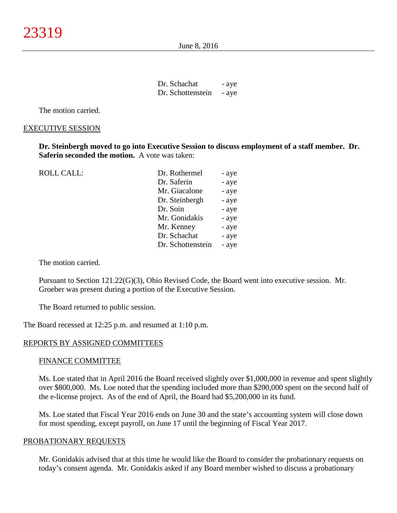June 8, 2016

| Dr. Schachat      | - aye |
|-------------------|-------|
| Dr. Schottenstein | - aye |

The motion carried.

#### EXECUTIVE SESSION

**Dr. Steinbergh moved to go into Executive Session to discuss employment of a staff member. Dr. Saferin seconded the motion.** A vote was taken:

ROLL CALL: Dr. Rothermel - and - and - and - and - and - and - and - and - and - and - and - and - and - and - and - and - and - and - and - and - and - and - and - and - and - and - and - and - and - and - and - and - and

| Dr. Rothermel     | - ave |
|-------------------|-------|
| Dr. Saferin       | - aye |
| Mr. Giacalone     | - aye |
| Dr. Steinbergh    | - aye |
| Dr. Soin          | - aye |
| Mr. Gonidakis     | - aye |
| Mr. Kenney        | - aye |
| Dr. Schachat      | - aye |
| Dr. Schottenstein | - aye |
|                   |       |

The motion carried.

Pursuant to Section 121.22(G)(3), Ohio Revised Code, the Board went into executive session. Mr. Groeber was present during a portion of the Executive Session.

The Board returned to public session.

The Board recessed at 12:25 p.m. and resumed at 1:10 p.m.

#### REPORTS BY ASSIGNED COMMITTEES

#### FINANCE COMMITTEE

Ms. Loe stated that in April 2016 the Board received slightly over \$1,000,000 in revenue and spent slightly over \$800,000. Ms. Loe noted that the spending included more than \$200,000 spent on the second half of the e-license project. As of the end of April, the Board had \$5,200,000 in its fund.

Ms. Loe stated that Fiscal Year 2016 ends on June 30 and the state's accounting system will close down for most spending, except payroll, on June 17 until the beginning of Fiscal Year 2017.

#### PROBATIONARY REQUESTS

Mr. Gonidakis advised that at this time he would like the Board to consider the probationary requests on today's consent agenda. Mr. Gonidakis asked if any Board member wished to discuss a probationary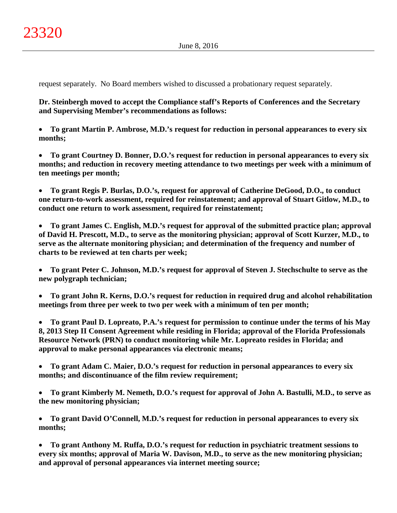request separately. No Board members wished to discussed a probationary request separately.

**Dr. Steinbergh moved to accept the Compliance staff's Reports of Conferences and the Secretary and Supervising Member's recommendations as follows:**

• **To grant Martin P. Ambrose, M.D.'s request for reduction in personal appearances to every six months;**

• **To grant Courtney D. Bonner, D.O.'s request for reduction in personal appearances to every six months; and reduction in recovery meeting attendance to two meetings per week with a minimum of ten meetings per month;**

• **To grant Regis P. Burlas, D.O.'s, request for approval of Catherine DeGood, D.O., to conduct one return-to-work assessment, required for reinstatement; and approval of Stuart Gitlow, M.D., to conduct one return to work assessment, required for reinstatement;**

• **To grant James C. English, M.D.'s request for approval of the submitted practice plan; approval of David H. Prescott, M.D., to serve as the monitoring physician; approval of Scott Kurzer, M.D., to serve as the alternate monitoring physician; and determination of the frequency and number of charts to be reviewed at ten charts per week;**

• **To grant Peter C. Johnson, M.D.'s request for approval of Steven J. Stechschulte to serve as the new polygraph technician;**

• **To grant John R. Kerns, D.O.'s request for reduction in required drug and alcohol rehabilitation meetings from three per week to two per week with a minimum of ten per month;**

• **To grant Paul D. Lopreato, P.A.'s request for permission to continue under the terms of his May 8, 2013 Step II Consent Agreement while residing in Florida; approval of the Florida Professionals Resource Network (PRN) to conduct monitoring while Mr. Lopreato resides in Florida; and approval to make personal appearances via electronic means;**

• **To grant Adam C. Maier, D.O.'s request for reduction in personal appearances to every six months; and discontinuance of the film review requirement;**

• **To grant Kimberly M. Nemeth, D.O.'s request for approval of John A. Bastulli, M.D., to serve as the new monitoring physician;**

• **To grant David O'Connell, M.D.'s request for reduction in personal appearances to every six months;**

• **To grant Anthony M. Ruffa, D.O.'s request for reduction in psychiatric treatment sessions to every six months; approval of Maria W. Davison, M.D., to serve as the new monitoring physician; and approval of personal appearances via internet meeting source;**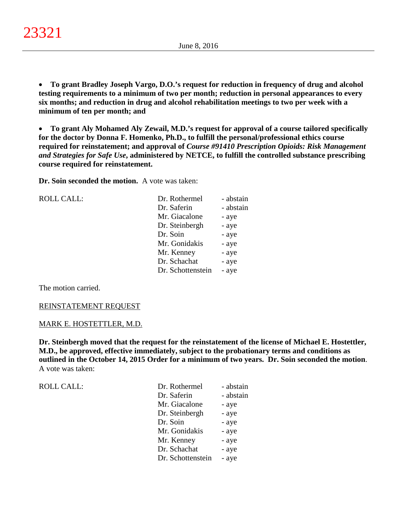• **To grant Bradley Joseph Vargo, D.O.'s request for reduction in frequency of drug and alcohol testing requirements to a minimum of two per month; reduction in personal appearances to every six months; and reduction in drug and alcohol rehabilitation meetings to two per week with a minimum of ten per month; and**

• **To grant Aly Mohamed Aly Zewail, M.D.'s request for approval of a course tailored specifically for the doctor by Donna F. Homenko, Ph.D., to fulfill the personal/professional ethics course required for reinstatement; and approval of** *Course #91410 Prescription Opioids: Risk Management and Strategies for Safe Use***, administered by NETCE, to fulfill the controlled substance prescribing course required for reinstatement.**

**Dr. Soin seconded the motion.** A vote was taken:

ROLL CALL:

| Dr. Rothermel     | - abstain |
|-------------------|-----------|
| Dr. Saferin       | - abstain |
| Mr. Giacalone     | - aye     |
| Dr. Steinbergh    | - aye     |
| Dr. Soin          | - aye     |
| Mr. Gonidakis     | - aye     |
| Mr. Kenney        | - aye     |
| Dr. Schachat      | - aye     |
| Dr. Schottenstein | - aye     |
|                   |           |

The motion carried.

#### REINSTATEMENT REQUEST

#### MARK E. HOSTETTLER, M.D.

**Dr. Steinbergh moved that the request for the reinstatement of the license of Michael E. Hostettler, M.D., be approved, effective immediately, subject to the probationary terms and conditions as outlined in the October 14, 2015 Order for a minimum of two years. Dr. Soin seconded the motion**. A vote was taken:

| <b>ROLL CALL:</b> | Dr. Rothermel     | - abstain |
|-------------------|-------------------|-----------|
|                   | Dr. Saferin       | - abstain |
|                   | Mr. Giacalone     | - aye     |
|                   | Dr. Steinbergh    | - aye     |
|                   | Dr. Soin          | - aye     |
|                   | Mr. Gonidakis     | - aye     |
|                   | Mr. Kenney        | - aye     |
|                   | Dr. Schachat      | - aye     |
|                   | Dr. Schottenstein | - aye     |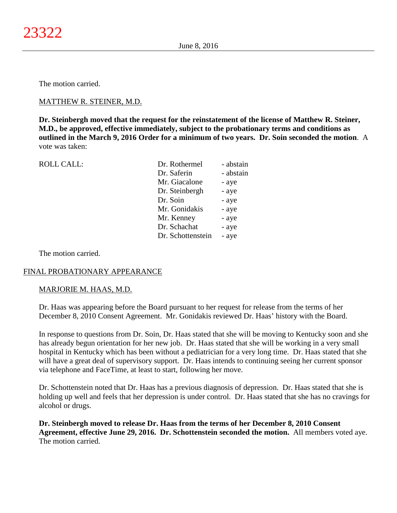The motion carried.

## MATTHEW R. STEINER, M.D.

**Dr. Steinbergh moved that the request for the reinstatement of the license of Matthew R. Steiner, M.D., be approved, effective immediately, subject to the probationary terms and conditions as outlined in the March 9, 2016 Order for a minimum of two years. Dr. Soin seconded the motion**. A vote was taken:

| <b>ROLL CALL:</b> | Dr. Rothermel     | - abstain |
|-------------------|-------------------|-----------|
|                   | Dr. Saferin       | - abstain |
|                   | Mr. Giacalone     | - aye     |
|                   | Dr. Steinbergh    | - aye     |
|                   | Dr. Soin          | - aye     |
|                   | Mr. Gonidakis     | - aye     |
|                   | Mr. Kenney        | - aye     |
|                   | Dr. Schachat      | - aye     |
|                   | Dr. Schottenstein | - aye     |
|                   |                   |           |

The motion carried.

## FINAL PROBATIONARY APPEARANCE

## MARJORIE M. HAAS, M.D.

Dr. Haas was appearing before the Board pursuant to her request for release from the terms of her December 8, 2010 Consent Agreement. Mr. Gonidakis reviewed Dr. Haas' history with the Board.

In response to questions from Dr. Soin, Dr. Haas stated that she will be moving to Kentucky soon and she has already begun orientation for her new job. Dr. Haas stated that she will be working in a very small hospital in Kentucky which has been without a pediatrician for a very long time. Dr. Haas stated that she will have a great deal of supervisory support. Dr. Haas intends to continuing seeing her current sponsor via telephone and FaceTime, at least to start, following her move.

Dr. Schottenstein noted that Dr. Haas has a previous diagnosis of depression. Dr. Haas stated that she is holding up well and feels that her depression is under control. Dr. Haas stated that she has no cravings for alcohol or drugs.

**Dr. Steinbergh moved to release Dr. Haas from the terms of her December 8, 2010 Consent Agreement, effective June 29, 2016. Dr. Schottenstein seconded the motion.** All members voted aye. The motion carried.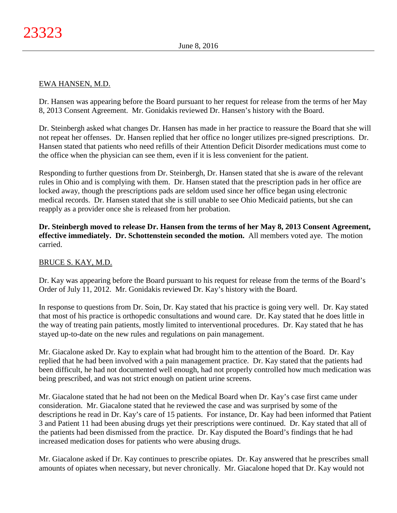## EWA HANSEN, M.D.

Dr. Hansen was appearing before the Board pursuant to her request for release from the terms of her May 8, 2013 Consent Agreement. Mr. Gonidakis reviewed Dr. Hansen's history with the Board.

Dr. Steinbergh asked what changes Dr. Hansen has made in her practice to reassure the Board that she will not repeat her offenses. Dr. Hansen replied that her office no longer utilizes pre-signed prescriptions. Dr. Hansen stated that patients who need refills of their Attention Deficit Disorder medications must come to the office when the physician can see them, even if it is less convenient for the patient.

Responding to further questions from Dr. Steinbergh, Dr. Hansen stated that she is aware of the relevant rules in Ohio and is complying with them. Dr. Hansen stated that the prescription pads in her office are locked away, though the prescriptions pads are seldom used since her office began using electronic medical records. Dr. Hansen stated that she is still unable to see Ohio Medicaid patients, but she can reapply as a provider once she is released from her probation.

**Dr. Steinbergh moved to release Dr. Hansen from the terms of her May 8, 2013 Consent Agreement, effective immediately. Dr. Schottenstein seconded the motion.** All members voted aye. The motion carried.

# BRUCE S. KAY, M.D.

Dr. Kay was appearing before the Board pursuant to his request for release from the terms of the Board's Order of July 11, 2012. Mr. Gonidakis reviewed Dr. Kay's history with the Board.

In response to questions from Dr. Soin, Dr. Kay stated that his practice is going very well. Dr. Kay stated that most of his practice is orthopedic consultations and wound care. Dr. Kay stated that he does little in the way of treating pain patients, mostly limited to interventional procedures. Dr. Kay stated that he has stayed up-to-date on the new rules and regulations on pain management.

Mr. Giacalone asked Dr. Kay to explain what had brought him to the attention of the Board. Dr. Kay replied that he had been involved with a pain management practice. Dr. Kay stated that the patients had been difficult, he had not documented well enough, had not properly controlled how much medication was being prescribed, and was not strict enough on patient urine screens.

Mr. Giacalone stated that he had not been on the Medical Board when Dr. Kay's case first came under consideration. Mr. Giacalone stated that he reviewed the case and was surprised by some of the descriptions he read in Dr. Kay's care of 15 patients. For instance, Dr. Kay had been informed that Patient 3 and Patient 11 had been abusing drugs yet their prescriptions were continued. Dr. Kay stated that all of the patients had been dismissed from the practice. Dr. Kay disputed the Board's findings that he had increased medication doses for patients who were abusing drugs.

Mr. Giacalone asked if Dr. Kay continues to prescribe opiates. Dr. Kay answered that he prescribes small amounts of opiates when necessary, but never chronically. Mr. Giacalone hoped that Dr. Kay would not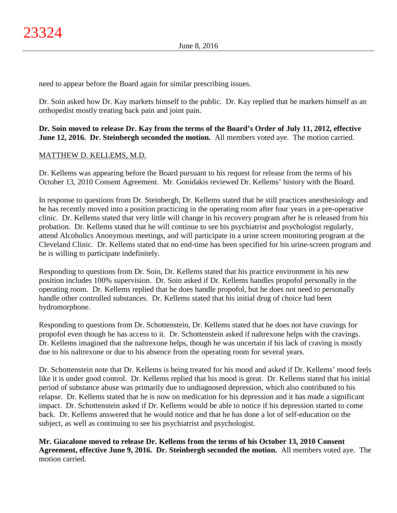need to appear before the Board again for similar prescribing issues.

Dr. Soin asked how Dr. Kay markets himself to the public. Dr. Kay replied that he markets himself as an orthopedist mostly treating back pain and joint pain.

# **Dr. Soin moved to release Dr. Kay from the terms of the Board's Order of July 11, 2012, effective June 12, 2016. Dr. Steinbergh seconded the motion.** All members voted aye. The motion carried.

# MATTHEW D. KELLEMS, M.D.

Dr. Kellems was appearing before the Board pursuant to his request for release from the terms of his October 13, 2010 Consent Agreement. Mr. Gonidakis reviewed Dr. Kellems' history with the Board.

In response to questions from Dr. Steinbergh, Dr. Kellems stated that he still practices anesthesiology and he has recently moved into a position practicing in the operating room after four years in a pre-operative clinic. Dr. Kellems stated that very little will change in his recovery program after he is released from his probation. Dr. Kellems stated that he will continue to see his psychiatrist and psychologist regularly, attend Alcoholics Anonymous meetings, and will participate in a urine screen monitoring program at the Cleveland Clinic. Dr. Kellems stated that no end-time has been specified for his urine-screen program and he is willing to participate indefinitely.

Responding to questions from Dr. Soin, Dr. Kellems stated that his practice environment in his new position includes 100% supervision. Dr. Soin asked if Dr. Kellems handles propofol personally in the operating room. Dr. Kellems replied that he does handle propofol, but he does not need to personally handle other controlled substances. Dr. Kellems stated that his initial drug of choice had been hydromorphone.

Responding to questions from Dr. Schottenstein, Dr. Kellems stated that he does not have cravings for propofol even though he has access to it. Dr. Schottenstein asked if naltrexone helps with the cravings. Dr. Kellems imagined that the naltrexone helps, though he was uncertain if his lack of craving is mostly due to his naltrexone or due to his absence from the operating room for several years.

Dr. Schottenstein note that Dr. Kellems is being treated for his mood and asked if Dr. Kellems' mood feels like it is under good control. Dr. Kellems replied that his mood is great. Dr. Kellems stated that his initial period of substance abuse was primarily due to undiagnosed depression, which also contributed to his relapse. Dr. Kellems stated that he is now on medication for his depression and it has made a significant impact. Dr. Schottenstein asked if Dr. Kellems would be able to notice if his depression started to come back. Dr. Kellems answered that he would notice and that he has done a lot of self-education on the subject, as well as continuing to see his psychiatrist and psychologist.

**Mr. Giacalone moved to release Dr. Kellems from the terms of his October 13, 2010 Consent Agreement, effective June 9, 2016. Dr. Steinbergh seconded the motion.** All members voted aye. The motion carried.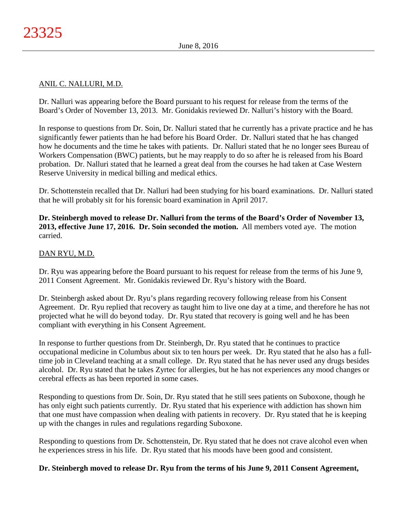## ANIL C. NALLURI, M.D.

Dr. Nalluri was appearing before the Board pursuant to his request for release from the terms of the Board's Order of November 13, 2013. Mr. Gonidakis reviewed Dr. Nalluri's history with the Board.

In response to questions from Dr. Soin, Dr. Nalluri stated that he currently has a private practice and he has significantly fewer patients than he had before his Board Order. Dr. Nalluri stated that he has changed how he documents and the time he takes with patients. Dr. Nalluri stated that he no longer sees Bureau of Workers Compensation (BWC) patients, but he may reapply to do so after he is released from his Board probation. Dr. Nalluri stated that he learned a great deal from the courses he had taken at Case Western Reserve University in medical billing and medical ethics.

Dr. Schottenstein recalled that Dr. Nalluri had been studying for his board examinations. Dr. Nalluri stated that he will probably sit for his forensic board examination in April 2017.

**Dr. Steinbergh moved to release Dr. Nalluri from the terms of the Board's Order of November 13, 2013, effective June 17, 2016. Dr. Soin seconded the motion.** All members voted aye. The motion carried.

## DAN RYU, M.D.

Dr. Ryu was appearing before the Board pursuant to his request for release from the terms of his June 9, 2011 Consent Agreement. Mr. Gonidakis reviewed Dr. Ryu's history with the Board.

Dr. Steinbergh asked about Dr. Ryu's plans regarding recovery following release from his Consent Agreement. Dr. Ryu replied that recovery as taught him to live one day at a time, and therefore he has not projected what he will do beyond today. Dr. Ryu stated that recovery is going well and he has been compliant with everything in his Consent Agreement.

In response to further questions from Dr. Steinbergh, Dr. Ryu stated that he continues to practice occupational medicine in Columbus about six to ten hours per week. Dr. Ryu stated that he also has a fulltime job in Cleveland teaching at a small college. Dr. Ryu stated that he has never used any drugs besides alcohol. Dr. Ryu stated that he takes Zyrtec for allergies, but he has not experiences any mood changes or cerebral effects as has been reported in some cases.

Responding to questions from Dr. Soin, Dr. Ryu stated that he still sees patients on Suboxone, though he has only eight such patients currently. Dr. Ryu stated that his experience with addiction has shown him that one must have compassion when dealing with patients in recovery. Dr. Ryu stated that he is keeping up with the changes in rules and regulations regarding Suboxone.

Responding to questions from Dr. Schottenstein, Dr. Ryu stated that he does not crave alcohol even when he experiences stress in his life. Dr. Ryu stated that his moods have been good and consistent.

## **Dr. Steinbergh moved to release Dr. Ryu from the terms of his June 9, 2011 Consent Agreement,**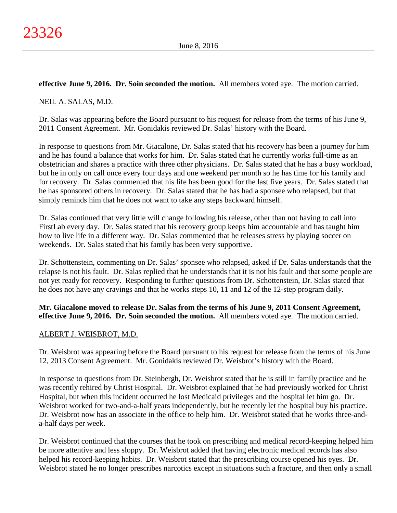## **effective June 9, 2016. Dr. Soin seconded the motion.** All members voted aye. The motion carried.

## NEIL A. SALAS, M.D.

Dr. Salas was appearing before the Board pursuant to his request for release from the terms of his June 9, 2011 Consent Agreement. Mr. Gonidakis reviewed Dr. Salas' history with the Board.

In response to questions from Mr. Giacalone, Dr. Salas stated that his recovery has been a journey for him and he has found a balance that works for him. Dr. Salas stated that he currently works full-time as an obstetrician and shares a practice with three other physicians. Dr. Salas stated that he has a busy workload, but he in only on call once every four days and one weekend per month so he has time for his family and for recovery. Dr. Salas commented that his life has been good for the last five years. Dr. Salas stated that he has sponsored others in recovery. Dr. Salas stated that he has had a sponsee who relapsed, but that simply reminds him that he does not want to take any steps backward himself.

Dr. Salas continued that very little will change following his release, other than not having to call into FirstLab every day. Dr. Salas stated that his recovery group keeps him accountable and has taught him how to live life in a different way. Dr. Salas commented that he releases stress by playing soccer on weekends. Dr. Salas stated that his family has been very supportive.

Dr. Schottenstein, commenting on Dr. Salas' sponsee who relapsed, asked if Dr. Salas understands that the relapse is not his fault. Dr. Salas replied that he understands that it is not his fault and that some people are not yet ready for recovery. Responding to further questions from Dr. Schottenstein, Dr. Salas stated that he does not have any cravings and that he works steps 10, 11 and 12 of the 12-step program daily.

**Mr. Giacalone moved to release Dr. Salas from the terms of his June 9, 2011 Consent Agreement, effective June 9, 2016. Dr. Soin seconded the motion.** All members voted aye. The motion carried.

## ALBERT J. WEISBROT, M.D.

Dr. Weisbrot was appearing before the Board pursuant to his request for release from the terms of his June 12, 2013 Consent Agreement. Mr. Gonidakis reviewed Dr. Weisbrot's history with the Board.

In response to questions from Dr. Steinbergh, Dr. Weisbrot stated that he is still in family practice and he was recently rehired by Christ Hospital. Dr. Weisbrot explained that he had previously worked for Christ Hospital, but when this incident occurred he lost Medicaid privileges and the hospital let him go. Dr. Weisbrot worked for two-and-a-half years independently, but he recently let the hospital buy his practice. Dr. Weisbrot now has an associate in the office to help him. Dr. Weisbrot stated that he works three-anda-half days per week.

Dr. Weisbrot continued that the courses that he took on prescribing and medical record-keeping helped him be more attentive and less sloppy. Dr. Weisbrot added that having electronic medical records has also helped his record-keeping habits. Dr. Weisbrot stated that the prescribing course opened his eyes. Dr. Weisbrot stated he no longer prescribes narcotics except in situations such a fracture, and then only a small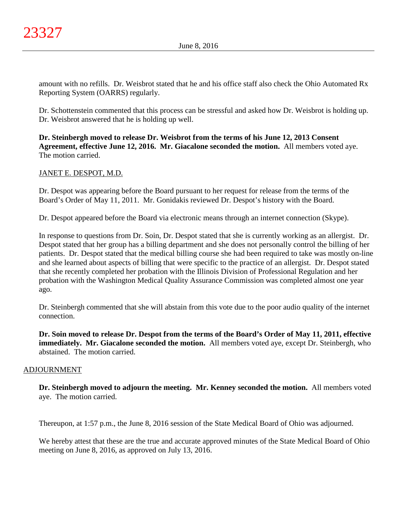amount with no refills. Dr. Weisbrot stated that he and his office staff also check the Ohio Automated Rx Reporting System (OARRS) regularly.

Dr. Schottenstein commented that this process can be stressful and asked how Dr. Weisbrot is holding up. Dr. Weisbrot answered that he is holding up well.

**Dr. Steinbergh moved to release Dr. Weisbrot from the terms of his June 12, 2013 Consent Agreement, effective June 12, 2016. Mr. Giacalone seconded the motion.** All members voted aye. The motion carried.

JANET E. DESPOT, M.D.

Dr. Despot was appearing before the Board pursuant to her request for release from the terms of the Board's Order of May 11, 2011. Mr. Gonidakis reviewed Dr. Despot's history with the Board.

Dr. Despot appeared before the Board via electronic means through an internet connection (Skype).

In response to questions from Dr. Soin, Dr. Despot stated that she is currently working as an allergist. Dr. Despot stated that her group has a billing department and she does not personally control the billing of her patients. Dr. Despot stated that the medical billing course she had been required to take was mostly on-line and she learned about aspects of billing that were specific to the practice of an allergist. Dr. Despot stated that she recently completed her probation with the Illinois Division of Professional Regulation and her probation with the Washington Medical Quality Assurance Commission was completed almost one year ago.

Dr. Steinbergh commented that she will abstain from this vote due to the poor audio quality of the internet connection.

**Dr. Soin moved to release Dr. Despot from the terms of the Board's Order of May 11, 2011, effective immediately. Mr. Giacalone seconded the motion.** All members voted aye, except Dr. Steinbergh, who abstained. The motion carried.

## ADJOURNMENT

**Dr. Steinbergh moved to adjourn the meeting. Mr. Kenney seconded the motion.** All members voted aye. The motion carried.

Thereupon, at 1:57 p.m., the June 8, 2016 session of the State Medical Board of Ohio was adjourned.

We hereby attest that these are the true and accurate approved minutes of the State Medical Board of Ohio meeting on June 8, 2016, as approved on July 13, 2016.